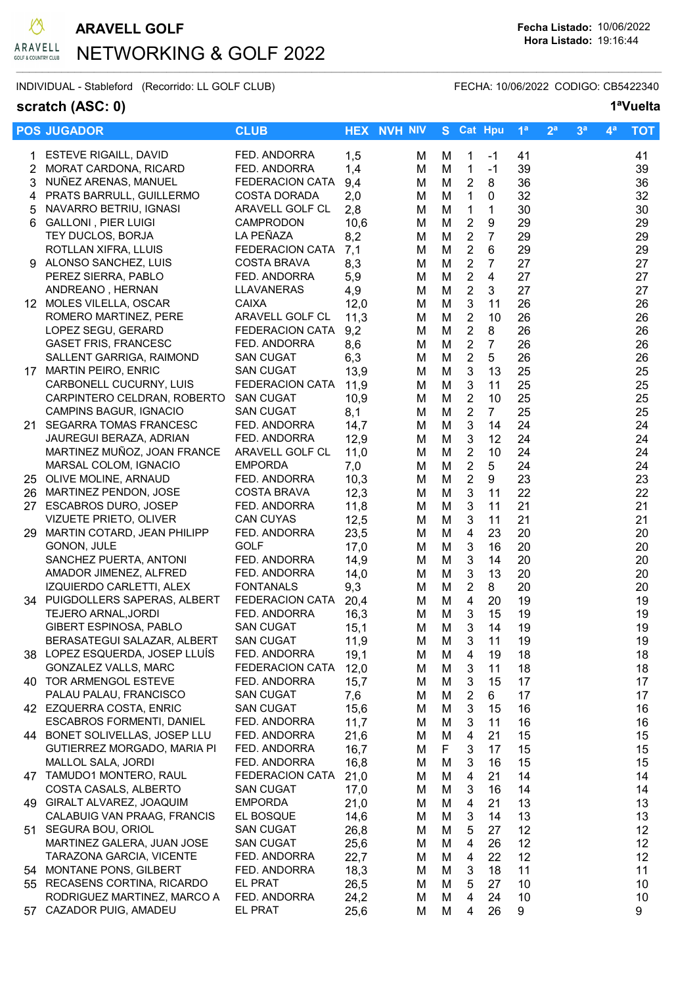

# NETWORKING & GOLF 2022  $\mathcal{L}_\mathcal{L} = \{ \mathcal{L}_\mathcal{L} = \{ \mathcal{L}_\mathcal{L} = \{ \mathcal{L}_\mathcal{L} = \{ \mathcal{L}_\mathcal{L} = \{ \mathcal{L}_\mathcal{L} = \{ \mathcal{L}_\mathcal{L} = \{ \mathcal{L}_\mathcal{L} = \{ \mathcal{L}_\mathcal{L} = \{ \mathcal{L}_\mathcal{L} = \{ \mathcal{L}_\mathcal{L} = \{ \mathcal{L}_\mathcal{L} = \{ \mathcal{L}_\mathcal{L} = \{ \mathcal{L}_\mathcal{L} = \{ \mathcal{L}_\mathcal{$

INDIVIDUAL - Stableford (Recorrido: LL GOLF CLUB) FECHA: 10/06/2022 CODIGO: CB5422340

### scratch (ASC: 0) 1<sup>a</sup>Vuelta

|     | <b>POS JUGADOR</b>                               | <b>CLUB</b>                  |             | <b>HEX NVH NIV</b> |        | S Cat Hpu                 |                | 1 <sup>a</sup> | 2 <sup>a</sup> | 3 <sup>a</sup> | $4^a$ | <b>TOT</b> |
|-----|--------------------------------------------------|------------------------------|-------------|--------------------|--------|---------------------------|----------------|----------------|----------------|----------------|-------|------------|
|     | 1 ESTEVE RIGAILL, DAVID                          | FED. ANDORRA                 | 1,5         | м                  | М      | $\mathbf{1}$              | $-1$           | 41             |                |                |       | 41         |
|     | 2 MORAT CARDONA, RICARD                          | FED. ANDORRA                 | 1,4         | M                  | M      | $\mathbf{1}$              | $-1$           | 39             |                |                |       | 39         |
| 3   | NUÑEZ ARENAS, MANUEL                             | <b>FEDERACION CATA</b>       | 9,4         | м                  | M      | $\overline{2}$            | 8              | 36             |                |                |       | 36         |
|     | 4 PRATS BARRULL, GUILLERMO                       | <b>COSTA DORADA</b>          | 2,0         | M                  | M      | $\mathbf{1}$              | 0              | 32             |                |                |       | 32         |
| 5   | NAVARRO BETRIU, IGNASI                           | ARAVELL GOLF CL              | 2,8         | M                  | M      | $\mathbf{1}$              | $\mathbf{1}$   | 30             |                |                |       | 30         |
| 6   | <b>GALLONI, PIER LUIGI</b>                       | <b>CAMPRODON</b>             | 10,6        | м                  | M      | $\overline{2}$            | 9              | 29             |                |                |       | 29         |
|     | TEY DUCLOS, BORJA                                | LA PEÑAZA                    | 8,2         | м                  | M      | $\overline{2}$            | $\overline{7}$ | 29             |                |                |       | 29         |
|     | ROTLLAN XIFRA, LLUIS                             | <b>FEDERACION CATA</b>       | 7,1         | м                  | M      | $\overline{2}$            | 6              | 29             |                |                |       | 29         |
|     | 9 ALONSO SANCHEZ, LUIS                           | <b>COSTA BRAVA</b>           | 8,3         | м                  | M      | $\overline{2}$            | $\overline{7}$ | 27             |                |                |       | 27         |
|     | PEREZ SIERRA, PABLO                              | FED. ANDORRA                 | 5,9         | м                  | M      | $\overline{2}$            | $\overline{4}$ | 27             |                |                |       | 27         |
|     | ANDREANO, HERNAN                                 | LLAVANERAS                   | 4,9         | M                  | M      | $\sqrt{2}$                | 3              | 27             |                |                |       | 27         |
|     | 12 MOLES VILELLA, OSCAR                          | <b>CAIXA</b>                 | 12,0        | м                  | M      | $\mathfrak{Z}$            | 11             | 26             |                |                |       | 26         |
|     | ROMERO MARTINEZ, PERE                            | ARAVELL GOLF CL              | 11,3        | M                  | M      | $\overline{2}$            | 10             | 26             |                |                |       | 26         |
|     | LOPEZ SEGU, GERARD                               | <b>FEDERACION CATA</b>       | 9,2         | M                  | M      | $\sqrt{2}$                | 8              | 26             |                |                |       | 26         |
|     | <b>GASET FRIS, FRANCESC</b>                      | FED. ANDORRA                 | 8,6         | M                  | M      | $\overline{2}$            | $\overline{7}$ | 26             |                |                |       | 26         |
|     | SALLENT GARRIGA, RAIMOND                         | <b>SAN CUGAT</b>             | 6,3         | м                  | M      | $\overline{2}$            | 5              | 26             |                |                |       | 26         |
|     | 17 MARTIN PEIRO, ENRIC                           | <b>SAN CUGAT</b>             | 13,9        | M                  | M      | $\mathbf{3}$              | 13             | 25             |                |                |       | 25         |
|     | CARBONELL CUCURNY, LUIS                          | <b>FEDERACION CATA</b>       | 11,9        | м                  | M      | 3                         | 11             | 25             |                |                |       | 25         |
|     | CARPINTERO CELDRAN, ROBERTO                      | <b>SAN CUGAT</b>             | 10,9        | м                  | M      | $\overline{2}$            | 10             | 25             |                |                |       | 25         |
|     | CAMPINS BAGUR, IGNACIO                           | <b>SAN CUGAT</b>             | 8,1         | M                  | M      | $\overline{2}$            | $7^{\circ}$    | 25             |                |                |       | 25         |
| 21. | <b>SEGARRA TOMAS FRANCESC</b>                    | FED. ANDORRA                 | 14,7        | м                  | M      | $\mathbf{3}$              | 14             | 24             |                |                |       | 24         |
|     | JAUREGUI BERAZA, ADRIAN                          | FED. ANDORRA                 | 12,9        | м                  | M      | 3                         | 12             | 24             |                |                |       | 24         |
|     | MARTINEZ MUÑOZ, JOAN FRANCE                      | ARAVELL GOLF CL              | 11,0        | M                  | M      | $\overline{2}$            | 10             | 24             |                |                |       | 24         |
|     | MARSAL COLOM, IGNACIO                            | <b>EMPORDA</b>               | 7,0         | M                  | M      | $\sqrt{2}$                | 5              | 24             |                |                |       | 24         |
|     | 25 OLIVE MOLINE, ARNAUD                          | FED. ANDORRA                 | 10,3        | M                  | M      | $\sqrt{2}$                | 9              | 23             |                |                |       | 23         |
|     | 26 MARTINEZ PENDON, JOSE                         | <b>COSTA BRAVA</b>           | 12,3        | M                  | M      | $\ensuremath{\mathsf{3}}$ | 11             | 22             |                |                |       | 22         |
|     | 27 ESCABROS DURO, JOSEP                          | FED. ANDORRA                 | 11,8        | M                  | M      | $\mathbf{3}$              | 11             | 21             |                |                |       | 21         |
|     | VIZUETE PRIETO, OLIVER                           | <b>CAN CUYAS</b>             | 12,5        | м                  | M      | 3                         | 11             | 21             |                |                |       | 21         |
|     | 29 MARTIN COTARD, JEAN PHILIPP                   | FED. ANDORRA                 | 23,5        | M                  | M      | $\overline{4}$            | 23             | 20             |                |                |       | 20         |
|     | GONON, JULE                                      | <b>GOLF</b>                  | 17,0        | М                  | M      | 3                         | 16             | 20             |                |                |       | 20         |
|     | SANCHEZ PUERTA, ANTONI<br>AMADOR JIMENEZ, ALFRED | FED. ANDORRA<br>FED. ANDORRA | 14,9        | M                  | M      | 3                         | 14             | 20             |                |                |       | 20         |
|     | IZQUIERDO CARLETTI, ALEX                         | <b>FONTANALS</b>             | 14,0<br>9,3 | м<br>М             | M<br>M | 3<br>$\overline{2}$       | 13<br>8        | 20<br>20       |                |                |       | 20<br>20   |
|     | 34 PUIGDOLLERS SAPERAS, ALBERT                   | <b>FEDERACION CATA</b>       | 20,4        | M                  | M      | 4                         | 20             | 19             |                |                |       | 19         |
|     | <b>TEJERO ARNAL, JORDI</b>                       | FED. ANDORRA                 | 16,3        | м                  | M      | 3                         | 15             | 19             |                |                |       | 19         |
|     | <b>GIBERT ESPINOSA, PABLO</b>                    | <b>SAN CUGAT</b>             | 15,1        | M                  | M      | 3                         | 14             | 19             |                |                |       | 19         |
|     | BERASATEGUI SALAZAR, ALBERT                      | <b>SAN CUGAT</b>             | 11,9        | M                  | M      | $\ensuremath{\mathsf{3}}$ | 11             | 19             |                |                |       | 19         |
|     | 38 LOPEZ ESQUERDA, JOSEP LLUÍS                   | FED. ANDORRA                 | 19,1        | м                  | M      | 4                         | 19             | 18             |                |                |       | 18         |
|     | GONZALEZ VALLS, MARC                             | <b>FEDERACION CATA</b>       | 12,0        | м                  | M      | 3                         | 11             | 18             |                |                |       | 18         |
|     | 40 TOR ARMENGOL ESTEVE                           | FED. ANDORRA                 | 15,7        | Μ                  | M      | 3                         | 15             | 17             |                |                |       | 17         |
|     | PALAU PALAU, FRANCISCO                           | <b>SAN CUGAT</b>             | 7,6         | м                  | M      | $\overline{2}$            | 6              | 17             |                |                |       | 17         |
|     | 42 EZQUERRA COSTA, ENRIC                         | <b>SAN CUGAT</b>             | 15,6        | м                  | M      | 3                         | 15             | 16             |                |                |       | 16         |
|     | <b>ESCABROS FORMENTI, DANIEL</b>                 | FED. ANDORRA                 | 11,7        | м                  | M      | 3                         | 11             | 16             |                |                |       | 16         |
|     | 44 BONET SOLIVELLAS, JOSEP LLU                   | FED. ANDORRA                 | 21,6        | м                  | M      | 4                         | 21             | 15             |                |                |       | 15         |
|     | GUTIERREZ MORGADO, MARIA PI                      | FED. ANDORRA                 | 16,7        | м                  | F      | 3                         | 17             | 15             |                |                |       | 15         |
|     | MALLOL SALA, JORDI                               | FED. ANDORRA                 | 16,8        | М                  | M      | 3                         | 16             | 15             |                |                |       | 15         |
|     | 47 TAMUDO1 MONTERO, RAUL                         | <b>FEDERACION CATA</b>       | 21,0        | м                  | M      | 4                         | 21             | 14             |                |                |       | 14         |
|     | COSTA CASALS, ALBERTO                            | <b>SAN CUGAT</b>             | 17,0        | м                  | M      | 3                         | 16             | 14             |                |                |       | 14         |
|     | 49 GIRALT ALVAREZ, JOAQUIM                       | <b>EMPORDA</b>               | 21,0        | м                  | M      | 4                         | 21             | 13             |                |                |       | 13         |
|     | CALABUIG VAN PRAAG, FRANCIS                      | EL BOSQUE                    | 14,6        | М                  | M      | 3                         | 14             | 13             |                |                |       | 13         |
|     | 51 SEGURA BOU, ORIOL                             | <b>SAN CUGAT</b>             | 26,8        | М                  | M      | 5                         | 27             | 12             |                |                |       | 12         |
|     | MARTINEZ GALERA, JUAN JOSE                       | <b>SAN CUGAT</b>             | 25,6        | М                  | M      | $\overline{4}$            | 26             | 12             |                |                |       | 12         |
|     | TARAZONA GARCIA, VICENTE                         | FED. ANDORRA                 | 22,7        | М                  | M      | 4                         | 22             | 12             |                |                |       | 12         |
|     | 54 MONTANE PONS, GILBERT                         | FED. ANDORRA                 | 18,3        | м                  | M      | 3                         | 18             | 11             |                |                |       | 11         |
|     | 55 RECASENS CORTINA, RICARDO                     | EL PRAT                      | 26,5        | м                  | M      | 5                         | 27             | 10             |                |                |       | 10         |
|     | RODRIGUEZ MARTINEZ, MARCO A                      | FED. ANDORRA                 | 24,2        | м                  | M      | 4                         | 24             | 10             |                |                |       | 10         |
| 57  | CAZADOR PUIG, AMADEU                             | EL PRAT                      | 25,6        | м                  | M      | 4                         | 26             | 9              |                |                |       | 9          |